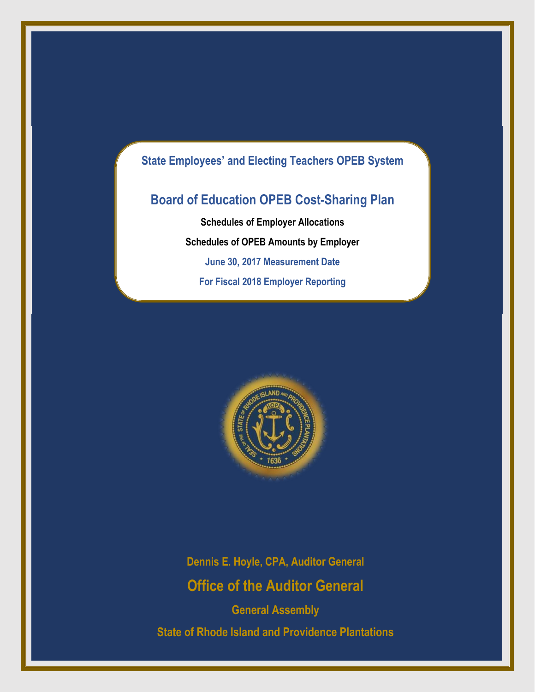## **State Employees' and Electing Teachers OPEB System**

# **Board of Education OPEB Cost-Sharing Plan**

**Schedules of Employer Allocations Schedules of OPEB Amounts by Employer June 30, 2017 Measurement Date For Fiscal 2018 Employer Reporting**



**Dennis E. Hoyle, CPA, Auditor General Office of the Auditor General**

**General Assembly State of Rhode Island and Providence Plantations**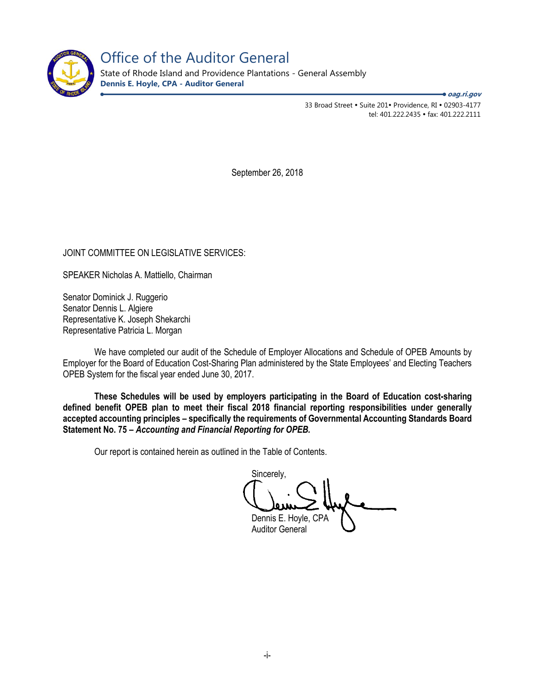

Office of the Auditor General

State of Rhode Island and Providence Plantations - General Assembly **Dennis E. Hoyle, CPA - Auditor General**

**oag.ri.gov**

33 Broad Street • Suite 201• Providence, RI • 02903-4177 tel: 401.222.2435 fax: 401.222.2111

September 26, 2018

JOINT COMMITTEE ON LEGISLATIVE SERVICES:

SPEAKER Nicholas A. Mattiello, Chairman

Senator Dominick J. Ruggerio Senator Dennis L. Algiere Representative K. Joseph Shekarchi Representative Patricia L. Morgan

We have completed our audit of the Schedule of Employer Allocations and Schedule of OPEB Amounts by Employer for the Board of Education Cost-Sharing Plan administered by the State Employees' and Electing Teachers OPEB System for the fiscal year ended June 30, 2017.

**These Schedules will be used by employers participating in the Board of Education cost-sharing defined benefit OPEB plan to meet their fiscal 2018 financial reporting responsibilities under generally accepted accounting principles – specifically the requirements of Governmental Accounting Standards Board Statement No. 75 –** *Accounting and Financial Reporting for OPEB.* 

Our report is contained herein as outlined in the Table of Contents.

Sincerely, Dennis E. Hoyle, CPA

Auditor General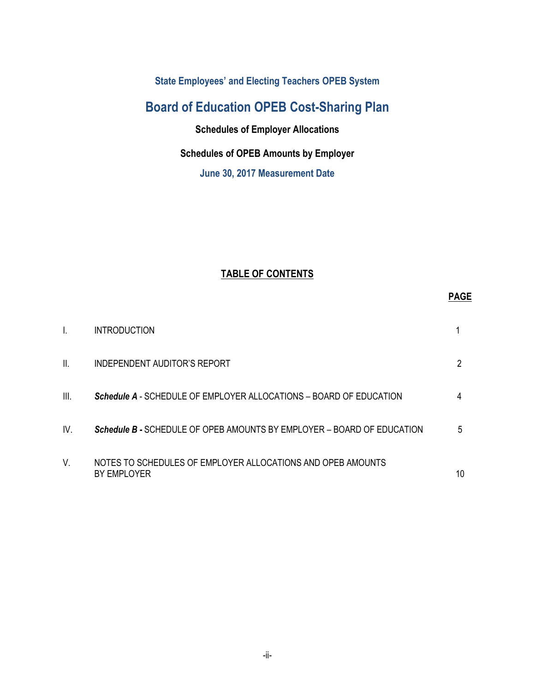**State Employees' and Electing Teachers OPEB System** 

# **Board of Education OPEB Cost-Sharing Plan**

**Schedules of Employer Allocations**

## **Schedules of OPEB Amounts by Employer**

**June 30, 2017 Measurement Date** 

## **TABLE OF CONTENTS**

|      | <b>INTRODUCTION</b>                                                        |    |
|------|----------------------------------------------------------------------------|----|
| Ш.   | INDEPENDENT AUDITOR'S REPORT                                               | 2  |
| III. | <b>Schedule A</b> - SCHEDULE OF EMPLOYER ALLOCATIONS – BOARD OF EDUCATION  | 4  |
| IV.  | Schedule B - SCHEDULE OF OPEB AMOUNTS BY EMPLOYER - BOARD OF EDUCATION     | 5  |
| V.   | NOTES TO SCHEDULES OF EMPLOYER ALLOCATIONS AND OPEB AMOUNTS<br>BY EMPLOYER | 10 |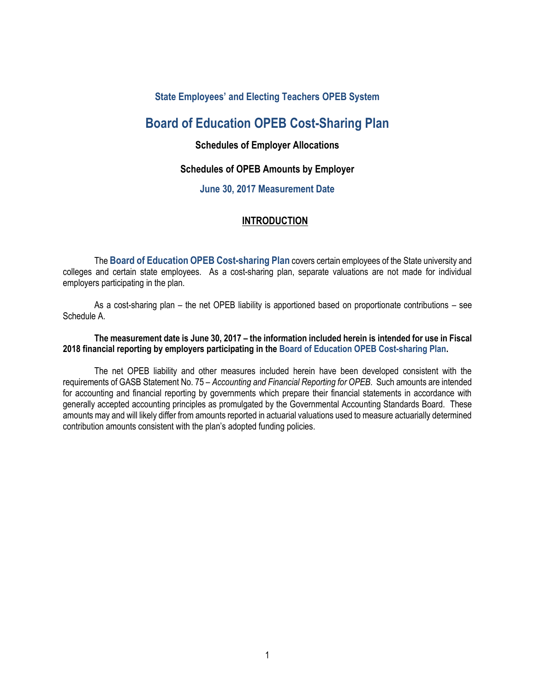### **State Employees' and Electing Teachers OPEB System**

## **Board of Education OPEB Cost-Sharing Plan**

### **Schedules of Employer Allocations**

### **Schedules of OPEB Amounts by Employer**

### **June 30, 2017 Measurement Date**

### **INTRODUCTION**

The **Board of Education OPEB Cost-sharing Plan** covers certain employees of the State university and colleges and certain state employees. As a cost-sharing plan, separate valuations are not made for individual employers participating in the plan.

As a cost-sharing plan – the net OPEB liability is apportioned based on proportionate contributions – see Schedule A.

### **The measurement date is June 30, 2017 – the information included herein is intended for use in Fiscal 2018 financial reporting by employers participating in the Board of Education OPEB Cost-sharing Plan.**

The net OPEB liability and other measures included herein have been developed consistent with the requirements of GASB Statement No. 75 – *Accounting and Financial Reporting for OPEB*. Such amounts are intended for accounting and financial reporting by governments which prepare their financial statements in accordance with generally accepted accounting principles as promulgated by the Governmental Accounting Standards Board. These amounts may and will likely differ from amounts reported in actuarial valuations used to measure actuarially determined contribution amounts consistent with the plan's adopted funding policies.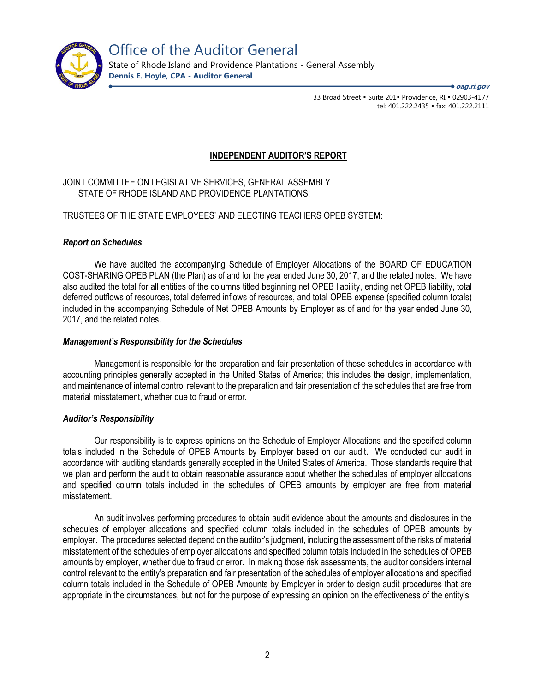

State of Rhode Island and Providence Plantations - General Assembly **Dennis E. Hoyle, CPA - Auditor General**

**oag.ri.gov**

33 Broad Street • Suite 201• Providence, RI • 02903-4177 tel: 401.222.2435 · fax: 401.222.2111

### **INDEPENDENT AUDITOR'S REPORT**

JOINT COMMITTEE ON LEGISLATIVE SERVICES, GENERAL ASSEMBLY STATE OF RHODE ISLAND AND PROVIDENCE PLANTATIONS:

TRUSTEES OF THE STATE EMPLOYEES' AND ELECTING TEACHERS OPEB SYSTEM:

### *Report on Schedules*

We have audited the accompanying Schedule of Employer Allocations of the BOARD OF EDUCATION COST-SHARING OPEB PLAN (the Plan) as of and for the year ended June 30, 2017, and the related notes. We have also audited the total for all entities of the columns titled beginning net OPEB liability, ending net OPEB liability, total deferred outflows of resources, total deferred inflows of resources, and total OPEB expense (specified column totals) included in the accompanying Schedule of Net OPEB Amounts by Employer as of and for the year ended June 30, 2017, and the related notes.

### *Management's Responsibility for the Schedules*

Management is responsible for the preparation and fair presentation of these schedules in accordance with accounting principles generally accepted in the United States of America; this includes the design, implementation, and maintenance of internal control relevant to the preparation and fair presentation of the schedules that are free from material misstatement, whether due to fraud or error.

### *Auditor's Responsibility*

Our responsibility is to express opinions on the Schedule of Employer Allocations and the specified column totals included in the Schedule of OPEB Amounts by Employer based on our audit. We conducted our audit in accordance with auditing standards generally accepted in the United States of America. Those standards require that we plan and perform the audit to obtain reasonable assurance about whether the schedules of employer allocations and specified column totals included in the schedules of OPEB amounts by employer are free from material misstatement.

An audit involves performing procedures to obtain audit evidence about the amounts and disclosures in the schedules of employer allocations and specified column totals included in the schedules of OPEB amounts by employer. The procedures selected depend on the auditor's judgment, including the assessment of the risks of material misstatement of the schedules of employer allocations and specified column totals included in the schedules of OPEB amounts by employer, whether due to fraud or error. In making those risk assessments, the auditor considers internal control relevant to the entity's preparation and fair presentation of the schedules of employer allocations and specified column totals included in the Schedule of OPEB Amounts by Employer in order to design audit procedures that are appropriate in the circumstances, but not for the purpose of expressing an opinion on the effectiveness of the entity's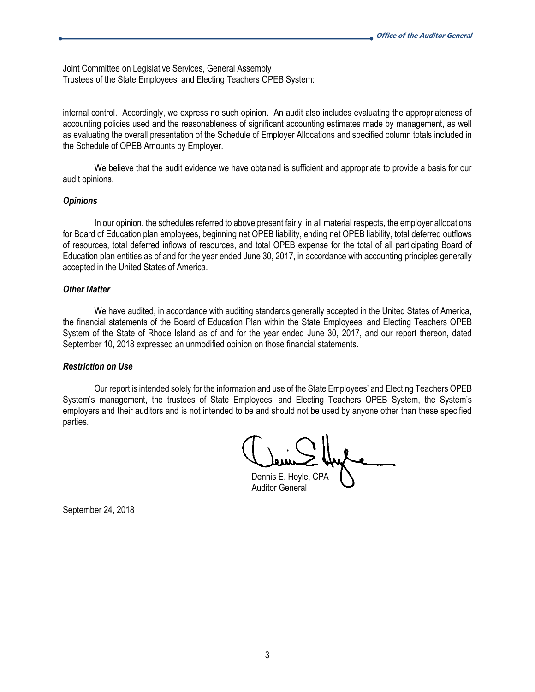Joint Committee on Legislative Services, General Assembly Trustees of the State Employees' and Electing Teachers OPEB System:

internal control. Accordingly, we express no such opinion. An audit also includes evaluating the appropriateness of accounting policies used and the reasonableness of significant accounting estimates made by management, as well as evaluating the overall presentation of the Schedule of Employer Allocations and specified column totals included in the Schedule of OPEB Amounts by Employer.

We believe that the audit evidence we have obtained is sufficient and appropriate to provide a basis for our audit opinions.

#### *Opinions*

In our opinion, the schedules referred to above present fairly, in all material respects, the employer allocations for Board of Education plan employees, beginning net OPEB liability, ending net OPEB liability, total deferred outflows of resources, total deferred inflows of resources, and total OPEB expense for the total of all participating Board of Education plan entities as of and for the year ended June 30, 2017, in accordance with accounting principles generally accepted in the United States of America.

#### *Other Matter*

We have audited, in accordance with auditing standards generally accepted in the United States of America, the financial statements of the Board of Education Plan within the State Employees' and Electing Teachers OPEB System of the State of Rhode Island as of and for the year ended June 30, 2017, and our report thereon, dated September 10, 2018 expressed an unmodified opinion on those financial statements.

### *Restriction on Use*

Our report is intended solely for the information and use of the State Employees' and Electing Teachers OPEB System's management, the trustees of State Employees' and Electing Teachers OPEB System, the System's employers and their auditors and is not intended to be and should not be used by anyone other than these specified parties.

Dennis E. Hoyle, CPA

Auditor General

September 24, 2018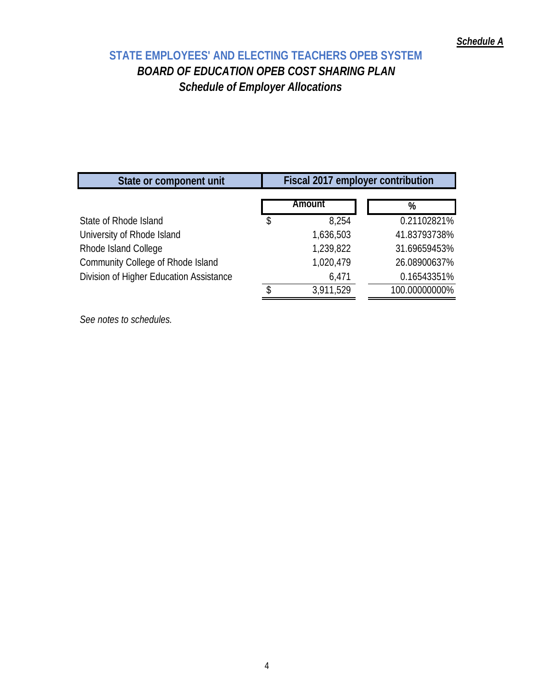# **STATE EMPLOYEES' AND ELECTING TEACHERS OPEB SYSTEM**  *BOARD OF EDUCATION OPEB COST SHARING PLAN Schedule of Employer Allocations*

| State or component unit                 | Fiscal 2017 employer contribution |               |  |  |  |
|-----------------------------------------|-----------------------------------|---------------|--|--|--|
|                                         | Amount                            | %             |  |  |  |
| State of Rhode Island                   | 8,254                             | 0.21102821%   |  |  |  |
| University of Rhode Island              | 1,636,503                         | 41.83793738%  |  |  |  |
| Rhode Island College                    | 1,239,822                         | 31.69659453%  |  |  |  |
| Community College of Rhode Island       | 1,020,479                         | 26.08900637%  |  |  |  |
| Division of Higher Education Assistance | 6,471                             | 0.16543351%   |  |  |  |
|                                         | 3,911,529                         | 100.00000000% |  |  |  |

*See notes to schedules.*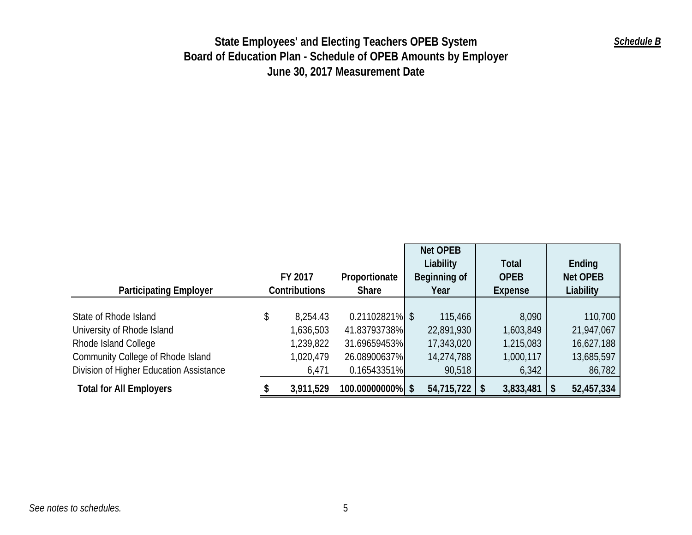| <b>Participating Employer</b>           | FY 2017<br>Contributions |           |                   |            | Proportionate<br><b>Share</b> | <b>Net OPEB</b><br>Liability<br>Beginning of<br>Year | <b>Total</b><br><b>OPEB</b><br>Expense | Ending<br><b>Net OPEB</b><br>Liability |
|-----------------------------------------|--------------------------|-----------|-------------------|------------|-------------------------------|------------------------------------------------------|----------------------------------------|----------------------------------------|
|                                         |                          |           |                   |            |                               |                                                      |                                        |                                        |
| State of Rhode Island                   | \$                       | 8,254.43  | $0.21102821\%$ \$ | 115,466    | 8,090                         | 110,700                                              |                                        |                                        |
| University of Rhode Island              |                          | 1,636,503 | 41.83793738%      | 22,891,930 | 1,603,849                     | 21,947,067                                           |                                        |                                        |
| Rhode Island College                    |                          | 1,239,822 | 31.69659453%      | 17,343,020 | 1,215,083                     | 16,627,188                                           |                                        |                                        |
| Community College of Rhode Island       |                          | 1,020,479 | 26.08900637%      | 14,274,788 | 1,000,117                     | 13,685,597                                           |                                        |                                        |
| Division of Higher Education Assistance |                          | 6,471     | 0.16543351%       | 90,518     | 6,342                         | 86,782                                               |                                        |                                        |
| <b>Total for All Employers</b>          |                          | 3,911,529 | 100.00000000% \$  | 54,715,722 | 3,833,481<br>S                | 52,457,334                                           |                                        |                                        |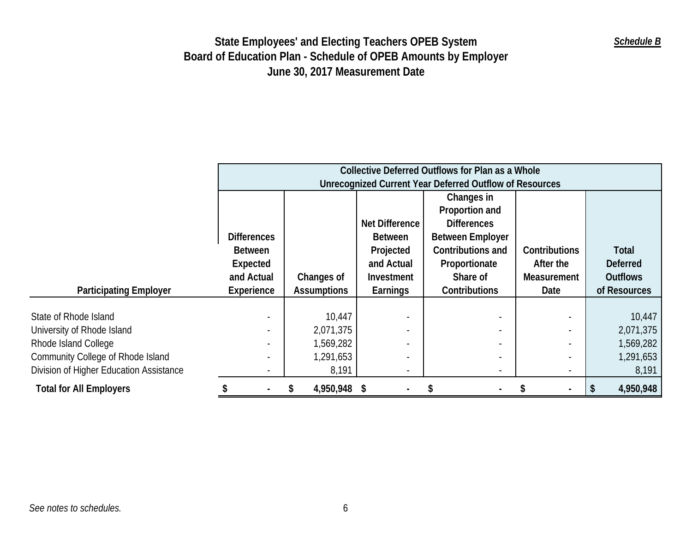|                                         | Collective Deferred Outflows for Plan as a Whole<br>Unrecognized Current Year Deferred Outflow of Resources |                    |                       |                         |               |                 |  |
|-----------------------------------------|-------------------------------------------------------------------------------------------------------------|--------------------|-----------------------|-------------------------|---------------|-----------------|--|
|                                         |                                                                                                             |                    |                       |                         |               |                 |  |
|                                         |                                                                                                             |                    |                       | Changes in              |               |                 |  |
|                                         |                                                                                                             |                    |                       | Proportion and          |               |                 |  |
|                                         |                                                                                                             |                    | <b>Net Difference</b> | <b>Differences</b>      |               |                 |  |
|                                         | <b>Differences</b>                                                                                          |                    | <b>Between</b>        | <b>Between Employer</b> |               |                 |  |
|                                         | <b>Between</b>                                                                                              |                    | Projected             | Contributions and       | Contributions | Total           |  |
|                                         | Expected                                                                                                    |                    | and Actual            | Proportionate           | After the     | <b>Deferred</b> |  |
|                                         | and Actual                                                                                                  | Changes of         | <b>Investment</b>     | Share of                | Measurement   | <b>Outflows</b> |  |
| <b>Participating Employer</b>           | Experience                                                                                                  | <b>Assumptions</b> | Earnings              | Contributions           | Date          | of Resources    |  |
|                                         |                                                                                                             |                    |                       |                         |               |                 |  |
| State of Rhode Island                   | $\overline{\phantom{a}}$                                                                                    | 10,447             |                       |                         |               | 10,447          |  |
| University of Rhode Island              |                                                                                                             | 2,071,375          |                       |                         |               | 2,071,375       |  |
| Rhode Island College                    |                                                                                                             | 1,569,282          |                       |                         |               | 1,569,282       |  |
| Community College of Rhode Island       |                                                                                                             | 1,291,653          |                       |                         |               | 1,291,653       |  |
| Division of Higher Education Assistance |                                                                                                             | 8,191              |                       |                         |               | 8,191           |  |
| <b>Total for All Employers</b>          |                                                                                                             | 4,950,948 \$<br>S  |                       | S                       |               | 4,950,948       |  |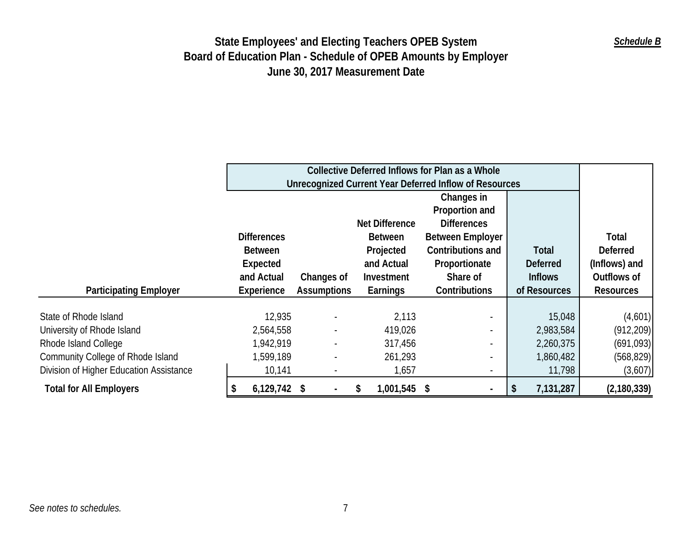|                                         |                    |                                                               |                       | Collective Deferred Inflows for Plan as a Whole |                 |                  |  |  |  |
|-----------------------------------------|--------------------|---------------------------------------------------------------|-----------------------|-------------------------------------------------|-----------------|------------------|--|--|--|
|                                         |                    | <b>Unrecognized Current Year Deferred Inflow of Resources</b> |                       |                                                 |                 |                  |  |  |  |
|                                         |                    |                                                               |                       | Changes in                                      |                 |                  |  |  |  |
|                                         |                    |                                                               |                       | Proportion and                                  |                 |                  |  |  |  |
|                                         |                    |                                                               | <b>Net Difference</b> | <b>Differences</b>                              |                 |                  |  |  |  |
|                                         | <b>Differences</b> |                                                               | <b>Between</b>        | <b>Between Employer</b>                         |                 | Total            |  |  |  |
|                                         | <b>Between</b>     |                                                               | Projected             | Contributions and                               | Total           | <b>Deferred</b>  |  |  |  |
|                                         | Expected           |                                                               | and Actual            | Proportionate                                   | <b>Deferred</b> | (Inflows) and    |  |  |  |
|                                         | and Actual         | Changes of                                                    | Investment            | Share of                                        | <b>Inflows</b>  | Outflows of      |  |  |  |
| <b>Participating Employer</b>           | Experience         | <b>Assumptions</b>                                            | Earnings              | Contributions                                   | of Resources    | <b>Resources</b> |  |  |  |
|                                         |                    |                                                               |                       |                                                 |                 |                  |  |  |  |
| State of Rhode Island                   | 12,935             |                                                               | 2,113                 |                                                 | 15,048          | (4,601)          |  |  |  |
| University of Rhode Island              | 2,564,558          |                                                               | 419,026               |                                                 | 2,983,584       | (912, 209)       |  |  |  |
| Rhode Island College                    | 1,942,919          |                                                               | 317,456               |                                                 | 2,260,375       | (691,093)        |  |  |  |
| Community College of Rhode Island       | 1,599,189          |                                                               | 261,293               |                                                 | 1,860,482       | (568, 829)       |  |  |  |
| Division of Higher Education Assistance | 10,141             |                                                               | 1,657                 |                                                 | 11,798          | (3,607)          |  |  |  |
| <b>Total for All Employers</b>          | $6,129,742$ \$     |                                                               | 1,001,545<br>S        | S                                               | 7,131,287       | (2, 180, 339)    |  |  |  |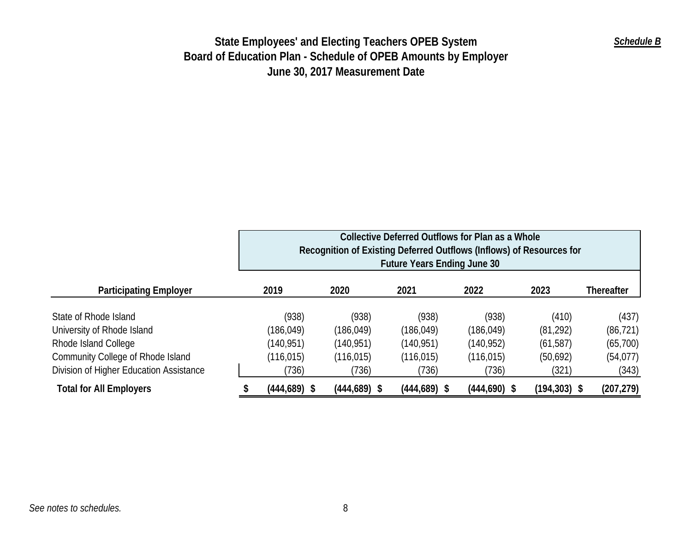|                                         | Collective Deferred Outflows for Plan as a Whole<br>Recognition of Existing Deferred Outflows (Inflows) of Resources for<br><b>Future Years Ending June 30</b> |                 |                 |                 |                 |                 |                   |
|-----------------------------------------|----------------------------------------------------------------------------------------------------------------------------------------------------------------|-----------------|-----------------|-----------------|-----------------|-----------------|-------------------|
| <b>Participating Employer</b>           |                                                                                                                                                                | 2019            | 2020            | 2021            | 2022            | 2023            | <b>Thereafter</b> |
| State of Rhode Island                   |                                                                                                                                                                | (938)           | (938)           | (938)           | (938)           | (410)           | (437)             |
| University of Rhode Island              |                                                                                                                                                                | (186, 049)      | (186, 049)      | (186, 049)      | (186, 049)      | (81, 292)       | (86, 721)         |
| Rhode Island College                    |                                                                                                                                                                | (140, 951)      | (140, 951)      | (140, 951)      | (140, 952)      | (61, 587)       | (65,700)          |
| Community College of Rhode Island       |                                                                                                                                                                | (116, 015)      | (116, 015)      | (116, 015)      | (116, 015)      | (50,692)        | (54, 077)         |
| Division of Higher Education Assistance |                                                                                                                                                                | (736)           | (736)           | (736)           | (736)           | (321)           | (343)             |
| <b>Total for All Employers</b>          |                                                                                                                                                                | $(444, 689)$ \$ | $(444, 689)$ \$ | $(444, 689)$ \$ | $(444, 690)$ \$ | $(194, 303)$ \$ | (207, 279)        |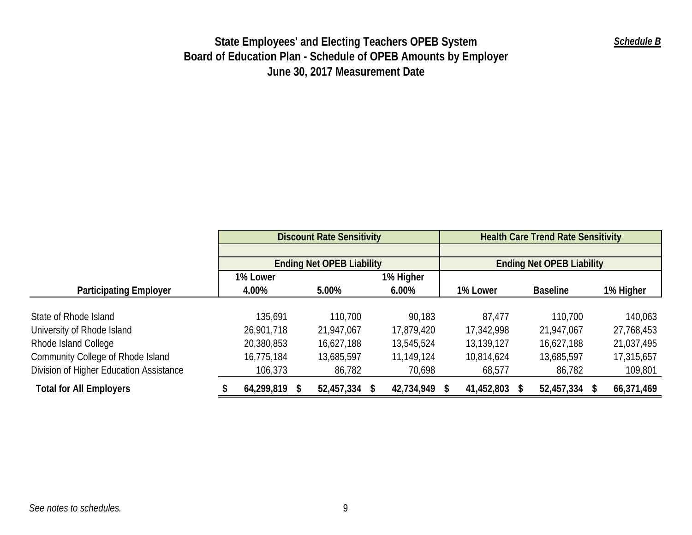|                                          |               | <b>Discount Rate Sensitivity</b> |            | <b>Health Care Trend Rate Sensitivity</b> |                                  |            |  |  |
|------------------------------------------|---------------|----------------------------------|------------|-------------------------------------------|----------------------------------|------------|--|--|
|                                          |               |                                  |            |                                           |                                  |            |  |  |
|                                          |               | <b>Ending Net OPEB Liability</b> |            |                                           | <b>Ending Net OPEB Liability</b> |            |  |  |
|                                          | 1% Lower      |                                  | 1% Higher  |                                           |                                  |            |  |  |
| <b>Participating Employer</b>            | 4.00%         | 5.00%                            | $6.00\%$   | 1% Lower                                  | <b>Baseline</b>                  | 1% Higher  |  |  |
|                                          |               |                                  |            |                                           |                                  |            |  |  |
| State of Rhode Island                    | 135,691       | 110,700                          | 90,183     | 87,477                                    | 110,700                          | 140,063    |  |  |
| University of Rhode Island               | 26,901,718    | 21,947,067                       | 17,879,420 | 17,342,998                                | 21,947,067                       | 27,768,453 |  |  |
| Rhode Island College                     | 20,380,853    | 16,627,188                       | 13,545,524 | 13,139,127                                | 16,627,188                       | 21,037,495 |  |  |
| <b>Community College of Rhode Island</b> | 16,775,184    | 13,685,597                       | 11,149,124 | 10,814,624                                | 13,685,597                       | 17,315,657 |  |  |
| Division of Higher Education Assistance  | 106,373       | 86,782                           | 70,698     | 68,577                                    | 86,782                           | 109,801    |  |  |
| <b>Total for All Employers</b>           | 64,299,819 \$ | 52,457,334 \$                    | 42,734,949 | 41,452,803                                | 52,457,334 \$                    | 66,371,469 |  |  |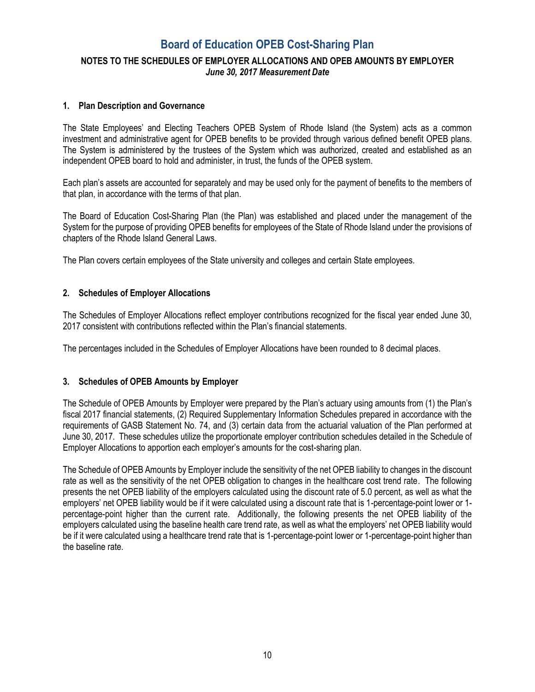### **NOTES TO THE SCHEDULES OF EMPLOYER ALLOCATIONS AND OPEB AMOUNTS BY EMPLOYER**  *June 30, 2017 Measurement Date*

### **1. Plan Description and Governance**

The State Employees' and Electing Teachers OPEB System of Rhode Island (the System) acts as a common investment and administrative agent for OPEB benefits to be provided through various defined benefit OPEB plans. The System is administered by the trustees of the System which was authorized, created and established as an independent OPEB board to hold and administer, in trust, the funds of the OPEB system.

Each plan's assets are accounted for separately and may be used only for the payment of benefits to the members of that plan, in accordance with the terms of that plan.

The Board of Education Cost-Sharing Plan (the Plan) was established and placed under the management of the System for the purpose of providing OPEB benefits for employees of the State of Rhode Island under the provisions of chapters of the Rhode Island General Laws.

The Plan covers certain employees of the State university and colleges and certain State employees.

### **2. Schedules of Employer Allocations**

The Schedules of Employer Allocations reflect employer contributions recognized for the fiscal year ended June 30, 2017 consistent with contributions reflected within the Plan's financial statements.

The percentages included in the Schedules of Employer Allocations have been rounded to 8 decimal places.

### **3. Schedules of OPEB Amounts by Employer**

The Schedule of OPEB Amounts by Employer were prepared by the Plan's actuary using amounts from (1) the Plan's fiscal 2017 financial statements, (2) Required Supplementary Information Schedules prepared in accordance with the requirements of GASB Statement No. 74, and (3) certain data from the actuarial valuation of the Plan performed at June 30, 2017. These schedules utilize the proportionate employer contribution schedules detailed in the Schedule of Employer Allocations to apportion each employer's amounts for the cost-sharing plan.

The Schedule of OPEB Amounts by Employer include the sensitivity of the net OPEB liability to changes in the discount rate as well as the sensitivity of the net OPEB obligation to changes in the healthcare cost trend rate. The following presents the net OPEB liability of the employers calculated using the discount rate of 5.0 percent, as well as what the employers' net OPEB liability would be if it were calculated using a discount rate that is 1-percentage-point lower or 1 percentage-point higher than the current rate. Additionally, the following presents the net OPEB liability of the employers calculated using the baseline health care trend rate, as well as what the employers' net OPEB liability would be if it were calculated using a healthcare trend rate that is 1-percentage-point lower or 1-percentage-point higher than the baseline rate.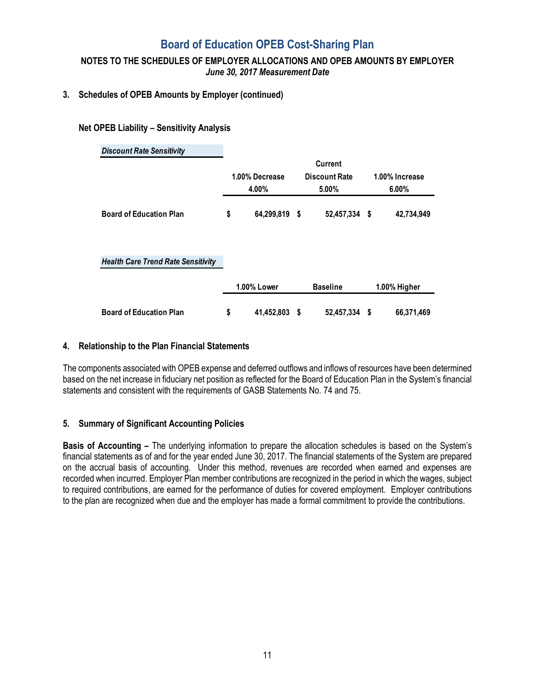### **NOTES TO THE SCHEDULES OF EMPLOYER ALLOCATIONS AND OPEB AMOUNTS BY EMPLOYER**  *June 30, 2017 Measurement Date*

### **3. Schedules of OPEB Amounts by Employer (continued)**

### **Net OPEB Liability – Sensitivity Analysis**

| <b>Discount Rate Sensitivity</b>          |                |                    |                      |                 |                |              |
|-------------------------------------------|----------------|--------------------|----------------------|-----------------|----------------|--------------|
|                                           |                |                    |                      | Current         |                |              |
|                                           | 1.00% Decrease |                    | <b>Discount Rate</b> |                 | 1.00% Increase |              |
|                                           |                | 4.00%              |                      | 5.00%           |                | $6.00\%$     |
| <b>Board of Education Plan</b>            | \$             | 64,299,819 \$      |                      | 52,457,334 \$   |                | 42,734,949   |
| <b>Health Care Trend Rate Sensitivity</b> |                |                    |                      |                 |                |              |
|                                           |                | <b>1.00% Lower</b> |                      | <b>Baseline</b> |                | 1.00% Higher |
| <b>Board of Education Plan</b>            | \$             | 41,452,803         | \$                   | 52,457,334      | S              | 66,371,469   |

### **4. Relationship to the Plan Financial Statements**

The components associated with OPEB expense and deferred outflows and inflows of resources have been determined based on the net increase in fiduciary net position as reflected for the Board of Education Plan in the System's financial statements and consistent with the requirements of GASB Statements No. 74 and 75.

### **5. Summary of Significant Accounting Policies**

**Basis of Accounting –** The underlying information to prepare the allocation schedules is based on the System's financial statements as of and for the year ended June 30, 2017. The financial statements of the System are prepared on the accrual basis of accounting. Under this method, revenues are recorded when earned and expenses are recorded when incurred. Employer Plan member contributions are recognized in the period in which the wages, subject to required contributions, are earned for the performance of duties for covered employment. Employer contributions to the plan are recognized when due and the employer has made a formal commitment to provide the contributions.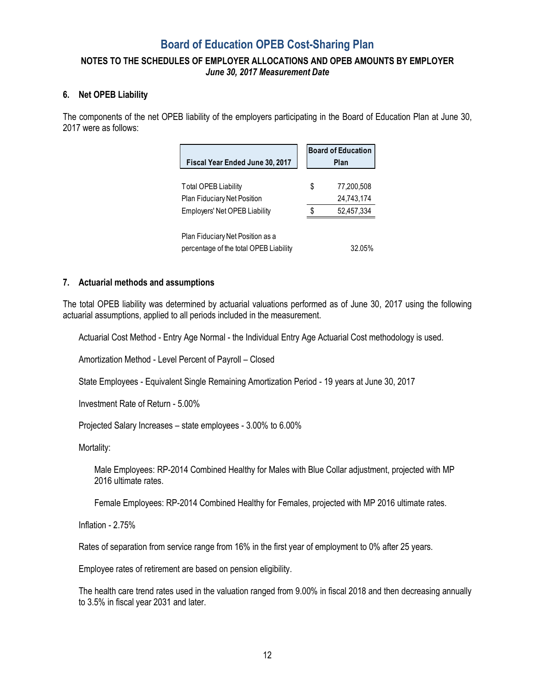### **NOTES TO THE SCHEDULES OF EMPLOYER ALLOCATIONS AND OPEB AMOUNTS BY EMPLOYER**  *June 30, 2017 Measurement Date*

### **6. Net OPEB Liability**

The components of the net OPEB liability of the employers participating in the Board of Education Plan at June 30, 2017 were as follows:

|                                        |      | <b>Board of Education</b> |  |  |
|----------------------------------------|------|---------------------------|--|--|
| Fiscal Year Ended June 30, 2017        | Plan |                           |  |  |
|                                        |      |                           |  |  |
| Total OPEB Liability                   | \$   | 77,200,508                |  |  |
| Plan Fiduciary Net Position            |      | 24,743,174                |  |  |
| Employers' Net OPEB Liability          |      | 52,457,334                |  |  |
|                                        |      |                           |  |  |
| Plan Fiduciary Net Position as a       |      |                           |  |  |
| percentage of the total OPEB Liability |      | 32.05%                    |  |  |

### **7. Actuarial methods and assumptions**

The total OPEB liability was determined by actuarial valuations performed as of June 30, 2017 using the following actuarial assumptions, applied to all periods included in the measurement.

Actuarial Cost Method - Entry Age Normal - the Individual Entry Age Actuarial Cost methodology is used.

Amortization Method - Level Percent of Payroll – Closed

State Employees - Equivalent Single Remaining Amortization Period - 19 years at June 30, 2017

Investment Rate of Return - 5.00%

Projected Salary Increases – state employees - 3.00% to 6.00%

Mortality:

Male Employees: RP-2014 Combined Healthy for Males with Blue Collar adjustment, projected with MP 2016 ultimate rates.

Female Employees: RP-2014 Combined Healthy for Females, projected with MP 2016 ultimate rates.

Inflation - 2.75%

Rates of separation from service range from 16% in the first year of employment to 0% after 25 years.

Employee rates of retirement are based on pension eligibility.

The health care trend rates used in the valuation ranged from 9.00% in fiscal 2018 and then decreasing annually to 3.5% in fiscal year 2031 and later.